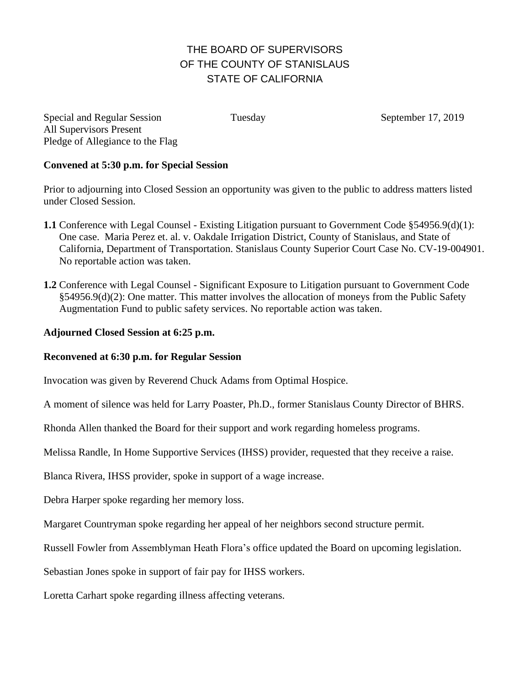## THE BOARD OF SUPERVISORS OF THE COUNTY OF STANISLAUS STATE OF CALIFORNIA

Special and Regular Session Tuesday September 17, 2019 All Supervisors Present Pledge of Allegiance to the Flag

## **Convened at 5:30 p.m. for Special Session**

Prior to adjourning into Closed Session an opportunity was given to the public to address matters listed under Closed Session.

- **1.1** Conference with Legal Counsel Existing Litigation pursuant to Government Code §54956.9(d)(1): One case. Maria Perez et. al. v. Oakdale Irrigation District, County of Stanislaus, and State of California, Department of Transportation. Stanislaus County Superior Court Case No. CV-19-004901. No reportable action was taken.
- **1.2** Conference with Legal Counsel Significant Exposure to Litigation pursuant to Government Code §54956.9(d)(2): One matter. This matter involves the allocation of moneys from the Public Safety Augmentation Fund to public safety services. No reportable action was taken.

## **Adjourned Closed Session at 6:25 p.m.**

## **Reconvened at 6:30 p.m. for Regular Session**

Invocation was given by Reverend Chuck Adams from Optimal Hospice.

A moment of silence was held for Larry Poaster, Ph.D., former Stanislaus County Director of BHRS.

Rhonda Allen thanked the Board for their support and work regarding homeless programs.

Melissa Randle, In Home Supportive Services (IHSS) provider, requested that they receive a raise.

Blanca Rivera, IHSS provider, spoke in support of a wage increase.

Debra Harper spoke regarding her memory loss.

Margaret Countryman spoke regarding her appeal of her neighbors second structure permit.

Russell Fowler from Assemblyman Heath Flora's office updated the Board on upcoming legislation.

Sebastian Jones spoke in support of fair pay for IHSS workers.

Loretta Carhart spoke regarding illness affecting veterans.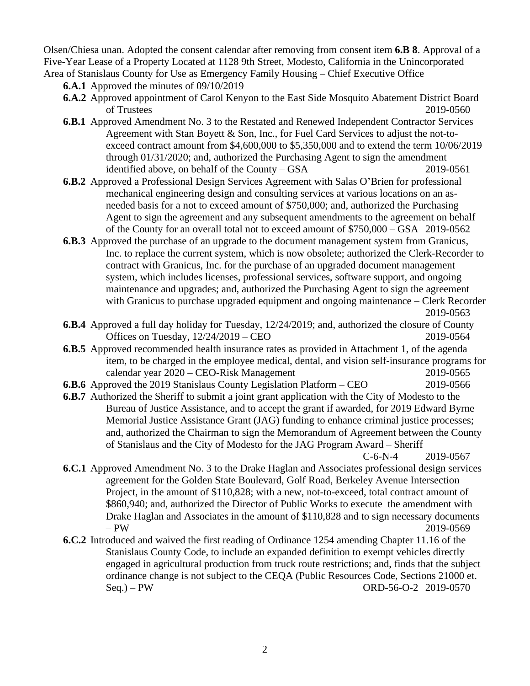Olsen/Chiesa unan. Adopted the consent calendar after removing from consent item **6.B 8**. Approval of a Five-Year Lease of a Property Located at 1128 9th Street, Modesto, California in the Unincorporated Area of Stanislaus County for Use as Emergency Family Housing – Chief Executive Office

**6.A.1** Approved the minutes of 09/10/2019

- **6.A.2** Approved appointment of Carol Kenyon to the East Side Mosquito Abatement District Board of Trustees 2019-0560
- **6.B.1** Approved Amendment No. 3 to the Restated and Renewed Independent Contractor Services Agreement with Stan Boyett & Son, Inc., for Fuel Card Services to adjust the not-toexceed contract amount from \$4,600,000 to \$5,350,000 and to extend the term 10/06/2019 through 01/31/2020; and, authorized the Purchasing Agent to sign the amendment identified above, on behalf of the County – GSA 2019-0561
- **6.B.2** Approved a Professional Design Services Agreement with Salas O'Brien for professional mechanical engineering design and consulting services at various locations on an asneeded basis for a not to exceed amount of \$750,000; and, authorized the Purchasing Agent to sign the agreement and any subsequent amendments to the agreement on behalf of the County for an overall total not to exceed amount of \$750,000 – GSA 2019-0562
- **6.B.3** Approved the purchase of an upgrade to the document management system from Granicus, Inc. to replace the current system, which is now obsolete; authorized the Clerk-Recorder to contract with Granicus, Inc. for the purchase of an upgraded document management system, which includes licenses, professional services, software support, and ongoing maintenance and upgrades; and, authorized the Purchasing Agent to sign the agreement with Granicus to purchase upgraded equipment and ongoing maintenance – Clerk Recorder 2019-0563
- **6.B.4** Approved a full day holiday for Tuesday, 12/24/2019; and, authorized the closure of County Offices on Tuesday, 12/24/2019 – CEO 2019-0564
- **6.B.5** Approved recommended health insurance rates as provided in Attachment 1, of the agenda item, to be charged in the employee medical, dental, and vision self-insurance programs for calendar year 2020 – CEO-Risk Management 2019-0565
- **6.B.6** Approved the 2019 Stanislaus County Legislation Platform CEO 2019-0566
- **6.B.7** Authorized the Sheriff to submit a joint grant application with the City of Modesto to the Bureau of Justice Assistance, and to accept the grant if awarded, for 2019 Edward Byrne Memorial Justice Assistance Grant (JAG) funding to enhance criminal justice processes; and, authorized the Chairman to sign the Memorandum of Agreement between the County of Stanislaus and the City of Modesto for the JAG Program Award – Sheriff

C-6-N-4 2019-0567

- **6.C.1** Approved Amendment No. 3 to the Drake Haglan and Associates professional design services agreement for the Golden State Boulevard, Golf Road, Berkeley Avenue Intersection Project, in the amount of \$110,828; with a new, not-to-exceed, total contract amount of \$860,940; and, authorized the Director of Public Works to execute the amendment with Drake Haglan and Associates in the amount of \$110,828 and to sign necessary documents – PW 2019-0569
- **6.C.2** Introduced and waived the first reading of Ordinance 1254 amending Chapter 11.16 of the Stanislaus County Code, to include an expanded definition to exempt vehicles directly engaged in agricultural production from truck route restrictions; and, finds that the subject ordinance change is not subject to the CEQA (Public Resources Code, Sections 21000 et. Seq.) – PW ORD-56-O-2 2019-0570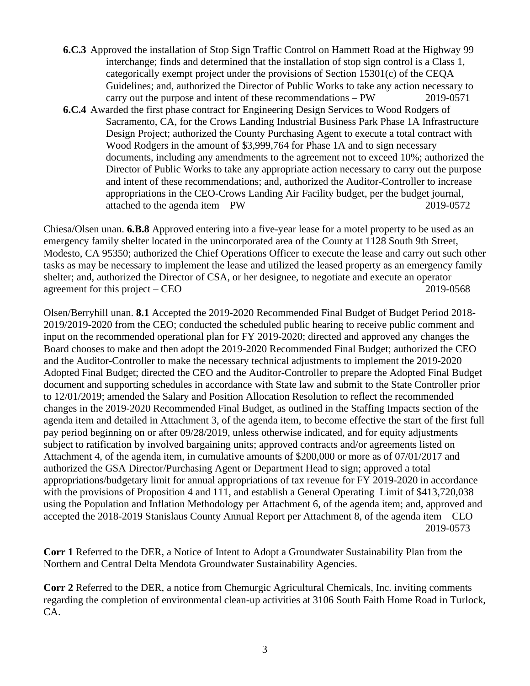- **6.C.3** Approved the installation of Stop Sign Traffic Control on Hammett Road at the Highway 99 interchange; finds and determined that the installation of stop sign control is a Class 1, categorically exempt project under the provisions of Section  $15301(c)$  of the CEQA Guidelines; and, authorized the Director of Public Works to take any action necessary to carry out the purpose and intent of these recommendations – PW 2019-0571
- **6.C.4** Awarded the first phase contract for Engineering Design Services to Wood Rodgers of Sacramento, CA, for the Crows Landing Industrial Business Park Phase 1A Infrastructure Design Project; authorized the County Purchasing Agent to execute a total contract with Wood Rodgers in the amount of \$3,999,764 for Phase 1A and to sign necessary documents, including any amendments to the agreement not to exceed 10%; authorized the Director of Public Works to take any appropriate action necessary to carry out the purpose and intent of these recommendations; and, authorized the Auditor-Controller to increase appropriations in the CEO-Crows Landing Air Facility budget, per the budget journal, attached to the agenda item – PW 2019-0572

Chiesa/Olsen unan. **6.B.8** Approved entering into a five-year lease for a motel property to be used as an emergency family shelter located in the unincorporated area of the County at 1128 South 9th Street, Modesto, CA 95350; authorized the Chief Operations Officer to execute the lease and carry out such other tasks as may be necessary to implement the lease and utilized the leased property as an emergency family shelter; and, authorized the Director of CSA, or her designee, to negotiate and execute an operator agreement for this project – CEO 2019-0568

Olsen/Berryhill unan. **8.1** Accepted the 2019-2020 Recommended Final Budget of Budget Period 2018- 2019/2019-2020 from the CEO; conducted the scheduled public hearing to receive public comment and input on the recommended operational plan for FY 2019-2020; directed and approved any changes the Board chooses to make and then adopt the 2019-2020 Recommended Final Budget; authorized the CEO and the Auditor-Controller to make the necessary technical adjustments to implement the 2019-2020 Adopted Final Budget; directed the CEO and the Auditor-Controller to prepare the Adopted Final Budget document and supporting schedules in accordance with State law and submit to the State Controller prior to 12/01/2019; amended the Salary and Position Allocation Resolution to reflect the recommended changes in the 2019-2020 Recommended Final Budget, as outlined in the Staffing Impacts section of the agenda item and detailed in Attachment 3, of the agenda item, to become effective the start of the first full pay period beginning on or after 09/28/2019, unless otherwise indicated, and for equity adjustments subject to ratification by involved bargaining units; approved contracts and/or agreements listed on Attachment 4, of the agenda item, in cumulative amounts of \$200,000 or more as of 07/01/2017 and authorized the GSA Director/Purchasing Agent or Department Head to sign; approved a total appropriations/budgetary limit for annual appropriations of tax revenue for FY 2019-2020 in accordance with the provisions of Proposition 4 and 111, and establish a General Operating Limit of \$413,720,038 using the Population and Inflation Methodology per Attachment 6, of the agenda item; and, approved and accepted the 2018-2019 Stanislaus County Annual Report per Attachment 8, of the agenda item – CEO 2019-0573

**Corr 1** Referred to the DER, a Notice of Intent to Adopt a Groundwater Sustainability Plan from the Northern and Central Delta Mendota Groundwater Sustainability Agencies.

**Corr 2** Referred to the DER, a notice from Chemurgic Agricultural Chemicals, Inc. inviting comments regarding the completion of environmental clean-up activities at 3106 South Faith Home Road in Turlock, CA.